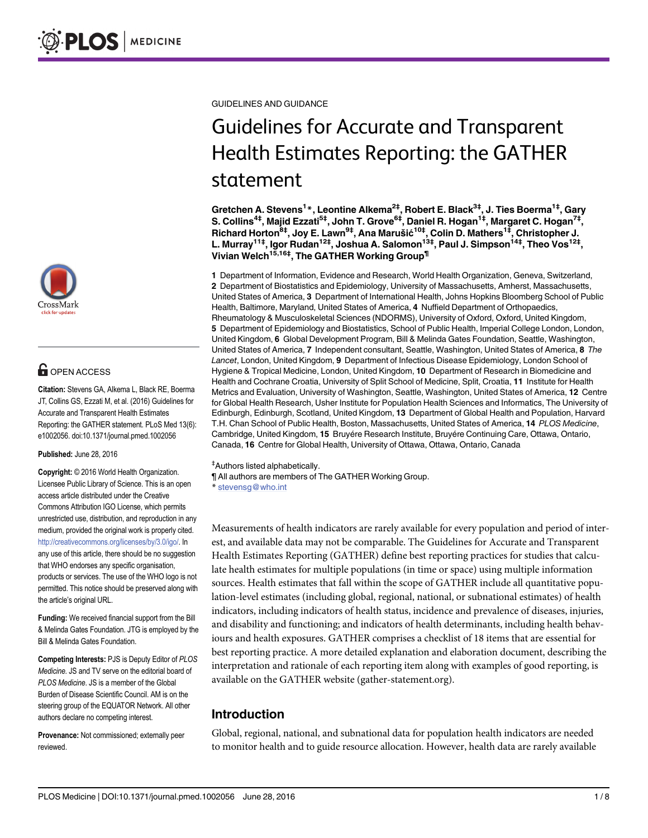

## **G** OPEN ACCESS

Citation: Stevens GA, Alkema L, Black RE, Boerma JT, Collins GS, Ezzati M, et al. (2016) Guidelines for Accurate and Transparent Health Estimates Reporting: the GATHER statement. PLoS Med 13(6): e1002056. doi:10.1371/journal.pmed.1002056

#### Published: June 28, 2016

Copyright: © 2016 World Health Organization. Licensee Public Library of Science. This is an open access article distributed under the Creative Commons Attribution IGO License, which permits unrestricted use, distribution, and reproduction in any medium, provided the original work is properly cited. [http://creativecommons.org/licenses/by/3.0/igo/.](http://creativecommons.org/licenses/by/3.0/igo/) In any use of this article, there should be no suggestion that WHO endorses any specific organisation, products or services. The use of the WHO logo is not permitted. This notice should be preserved along with the article's original URL.

Funding: We received financial support from the Bill & Melinda Gates Foundation. JTG is employed by the Bill & Melinda Gates Foundation.

Competing Interests: PJS is Deputy Editor of PLOS Medicine. JS and TV serve on the editorial board of PLOS Medicine. JS is a member of the Global Burden of Disease Scientific Council. AM is on the steering group of the EQUATOR Network. All other authors declare no competing interest.

Provenance: Not commissioned; externally peer reviewed.

GUIDELINES AND GUIDANCE

# Guidelines for Accurate and Transparent Health Estimates Reporting: the GATHER statement

Gretchen A. Stevens<sup>1</sup>\*, Leontine Alkema<sup>2‡</sup>, Robert E. Black<sup>3‡</sup>, J. Ties Boerma<sup>1‡</sup>, Gary S. Collins<sup>4‡</sup>, Majid Ezzati<sup>5‡</sup>, John T. Grove<sup>6‡</sup>, Daniel R. Hogan<sup>1‡</sup>, Margaret C. Hogan<sup>7‡</sup>, Richard Horton<sup>8‡</sup>, Joy E. Lawn<sup>9‡</sup>, Ana Marušić<sup>10‡</sup>, Colin D. Mathers<sup>1‡</sup>, Christopher J. L. Murray<sup>11‡</sup>, Igor Rudan<sup>12‡</sup>, Joshua A. Salomon<sup>13‡</sup>, Paul J. Simpson<sup>14‡</sup>, Theo Vos<sup>12‡</sup>, Vivian Welch<sup>15,16‡</sup>, The GATHER Working Group<sup>¶</sup>

1 Department of Information, Evidence and Research, World Health Organization, Geneva, Switzerland, 2 Department of Biostatistics and Epidemiology, University of Massachusetts, Amherst, Massachusetts, United States of America, 3 Department of International Health, Johns Hopkins Bloomberg School of Public Health, Baltimore, Maryland, United States of America, 4 Nuffield Department of Orthopaedics, Rheumatology & Musculoskeletal Sciences (NDORMS), University of Oxford, Oxford, United Kingdom, 5 Department of Epidemiology and Biostatistics, School of Public Health, Imperial College London, London, United Kingdom, 6 Global Development Program, Bill & Melinda Gates Foundation, Seattle, Washington, United States of America, 7 Independent consultant, Seattle, Washington, United States of America, 8 The Lancet, London, United Kingdom, 9 Department of Infectious Disease Epidemiology, London School of Hygiene & Tropical Medicine, London, United Kingdom, 10 Department of Research in Biomedicine and Health and Cochrane Croatia, University of Split School of Medicine, Split, Croatia, 11 Institute for Health Metrics and Evaluation, University of Washington, Seattle, Washington, United States of America, 12 Centre for Global Health Research, Usher Institute for Population Health Sciences and Informatics, The University of Edinburgh, Edinburgh, Scotland, United Kingdom, 13 Department of Global Health and Population, Harvard T.H. Chan School of Public Health, Boston, Massachusetts, United States of America, 14 PLOS Medicine, Cambridge, United Kingdom, 15 Bruyére Research Institute, Bruyére Continuing Care, Ottawa, Ontario, Canada, 16 Centre for Global Health, University of Ottawa, Ottawa, Ontario, Canada

‡ Authors listed alphabetically.

¶ All authors are members of The GATHER Working Group.

\* stevensg@who.int

Measurements of health indicators are rarely available for every population and period of interest, and available data may not be comparable. The Guidelines for Accurate and Transparent Health Estimates Reporting (GATHER) define best reporting practices for studies that calculate health estimates for multiple populations (in time or space) using multiple information sources. Health estimates that fall within the scope of GATHER include all quantitative population-level estimates (including global, regional, national, or subnational estimates) of health indicators, including indicators of health status, incidence and prevalence of diseases, injuries, and disability and functioning; and indicators of health determinants, including health behaviours and health exposures. GATHER comprises a checklist of 18 items that are essential for best reporting practice. A more detailed explanation and elaboration document, describing the interpretation and rationale of each reporting item along with examples of good reporting, is available on the GATHER website (gather-statement.org).

### Introduction

Global, regional, national, and subnational data for population health indicators are needed to monitor health and to guide resource allocation. However, health data are rarely available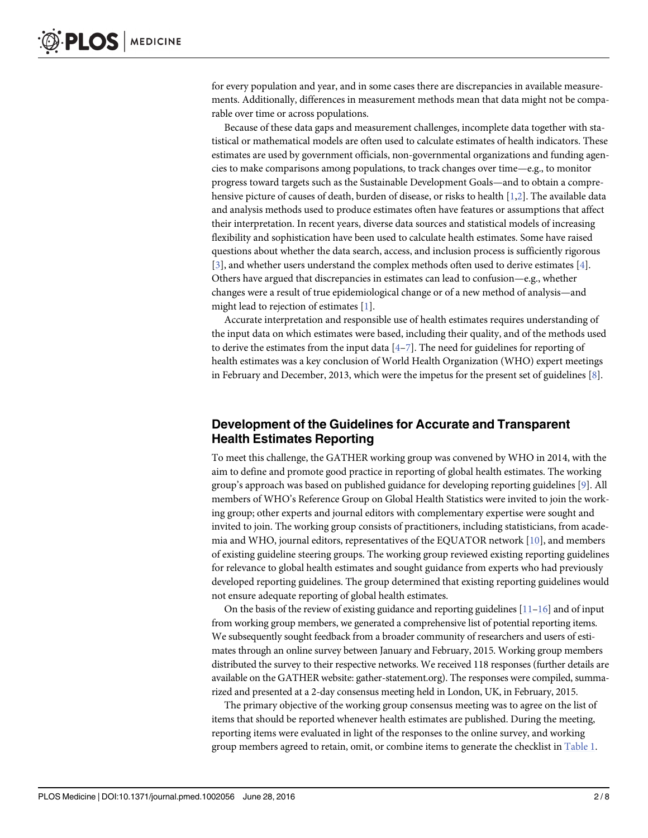<span id="page-1-0"></span>for every population and year, and in some cases there are discrepancies in available measurements. Additionally, differences in measurement methods mean that data might not be comparable over time or across populations.

Because of these data gaps and measurement challenges, incomplete data together with statistical or mathematical models are often used to calculate estimates of health indicators. These estimates are used by government officials, non-governmental organizations and funding agencies to make comparisons among populations, to track changes over time—e.g., to monitor progress toward targets such as the Sustainable Development Goals—and to obtain a comprehensive picture of causes of death, burden of disease, or risks to health [[1,2\]](#page-6-0). The available data and analysis methods used to produce estimates often have features or assumptions that affect their interpretation. In recent years, diverse data sources and statistical models of increasing flexibility and sophistication have been used to calculate health estimates. Some have raised questions about whether the data search, access, and inclusion process is sufficiently rigorous [\[3](#page-6-0)], and whether users understand the complex methods often used to derive estimates [[4\]](#page-6-0). Others have argued that discrepancies in estimates can lead to confusion—e.g., whether changes were a result of true epidemiological change or of a new method of analysis—and might lead to rejection of estimates [\[1\]](#page-6-0).

Accurate interpretation and responsible use of health estimates requires understanding of the input data on which estimates were based, including their quality, and of the methods used to derive the estimates from the input data  $[4-7]$  $[4-7]$  $[4-7]$  $[4-7]$ . The need for guidelines for reporting of health estimates was a key conclusion of World Health Organization (WHO) expert meetings in February and December, 2013, which were the impetus for the present set of guidelines [\[8](#page-6-0)].

### Development of the Guidelines for Accurate and Transparent Health Estimates Reporting

To meet this challenge, the GATHER working group was convened by WHO in 2014, with the aim to define and promote good practice in reporting of global health estimates. The working group's approach was based on published guidance for developing reporting guidelines [\[9](#page-6-0)]. All members of WHO's Reference Group on Global Health Statistics were invited to join the working group; other experts and journal editors with complementary expertise were sought and invited to join. The working group consists of practitioners, including statisticians, from academia and WHO, journal editors, representatives of the EQUATOR network [\[10](#page-6-0)], and members of existing guideline steering groups. The working group reviewed existing reporting guidelines for relevance to global health estimates and sought guidance from experts who had previously developed reporting guidelines. The group determined that existing reporting guidelines would not ensure adequate reporting of global health estimates.

On the basis of the review of existing guidance and reporting guidelines  $[11-16]$  $[11-16]$  $[11-16]$  $[11-16]$  and of input from working group members, we generated a comprehensive list of potential reporting items. We subsequently sought feedback from a broader community of researchers and users of estimates through an online survey between January and February, 2015. Working group members distributed the survey to their respective networks. We received 118 responses (further details are available on the GATHER website: gather-statement.org). The responses were compiled, summarized and presented at a 2-day consensus meeting held in London, UK, in February, 2015.

The primary objective of the working group consensus meeting was to agree on the list of items that should be reported whenever health estimates are published. During the meeting, reporting items were evaluated in light of the responses to the online survey, and working group members agreed to retain, omit, or combine items to generate the checklist in [Table 1.](#page-2-0)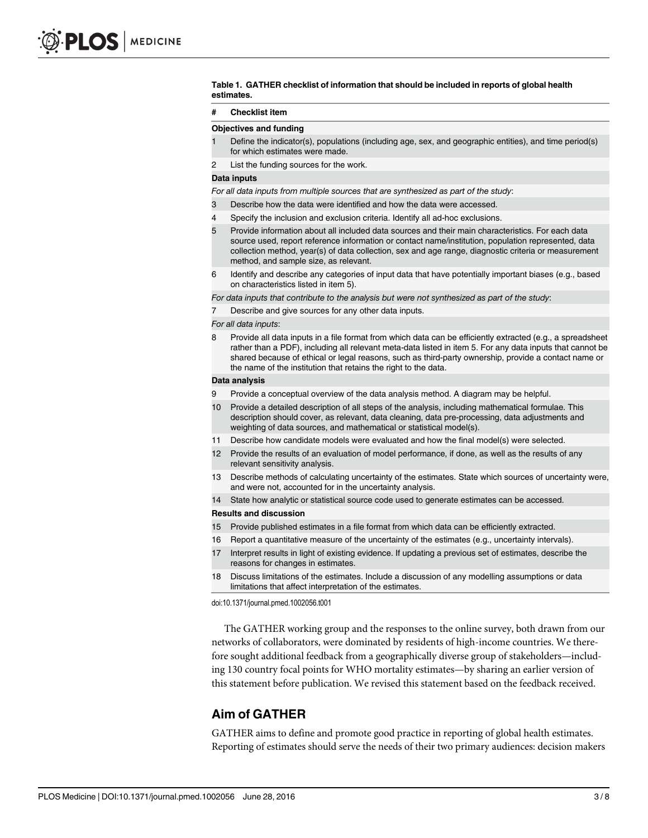#### <span id="page-2-0"></span>[Table 1.](#page-1-0) GATHER checklist of information that should be included in reports of global health estimates.

#### **Checklist item**

#### Objectives and funding

- Define the indicator(s), populations (including age, sex, and geographic entities), and time period(s) for which estimates were made.
- 2 List the funding sources for the work.

#### Data inputs

For all data inputs from multiple sources that are synthesized as part of the study:

- 3 Describe how the data were identified and how the data were accessed.
- 4 Specify the inclusion and exclusion criteria. Identify all ad-hoc exclusions.
- 5 Provide information about all included data sources and their main characteristics. For each data source used, report reference information or contact name/institution, population represented, data collection method, year(s) of data collection, sex and age range, diagnostic criteria or measurement method, and sample size, as relevant.
- 6 Identify and describe any categories of input data that have potentially important biases (e.g., based on characteristics listed in item 5).

For data inputs that contribute to the analysis but were not synthesized as part of the study:

Describe and give sources for any other data inputs.

For all data inputs:

8 Provide all data inputs in a file format from which data can be efficiently extracted (e.g., a spreadsheet rather than a PDF), including all relevant meta-data listed in item 5. For any data inputs that cannot be shared because of ethical or legal reasons, such as third-party ownership, provide a contact name or the name of the institution that retains the right to the data.

#### Data analysis

- Provide a conceptual overview of the data analysis method. A diagram may be helpful.
- 10 Provide a detailed description of all steps of the analysis, including mathematical formulae. This description should cover, as relevant, data cleaning, data pre-processing, data adjustments and weighting of data sources, and mathematical or statistical model(s).
- 11 Describe how candidate models were evaluated and how the final model(s) were selected.
- 12 Provide the results of an evaluation of model performance, if done, as well as the results of any relevant sensitivity analysis.
- 13 Describe methods of calculating uncertainty of the estimates. State which sources of uncertainty were, and were not, accounted for in the uncertainty analysis.
- 14 State how analytic or statistical source code used to generate estimates can be accessed.

#### Results and discussion

- 15 Provide published estimates in a file format from which data can be efficiently extracted.
- 16 Report a quantitative measure of the uncertainty of the estimates (e.g., uncertainty intervals).
- 17 Interpret results in light of existing evidence. If updating a previous set of estimates, describe the reasons for changes in estimates.
- 18 Discuss limitations of the estimates. Include a discussion of any modelling assumptions or data limitations that affect interpretation of the estimates.

doi:10.1371/journal.pmed.1002056.t001

The GATHER working group and the responses to the online survey, both drawn from our networks of collaborators, were dominated by residents of high-income countries. We therefore sought additional feedback from a geographically diverse group of stakeholders—including 130 country focal points for WHO mortality estimates—by sharing an earlier version of this statement before publication. We revised this statement based on the feedback received.

### Aim of GATHER

GATHER aims to define and promote good practice in reporting of global health estimates. Reporting of estimates should serve the needs of their two primary audiences: decision makers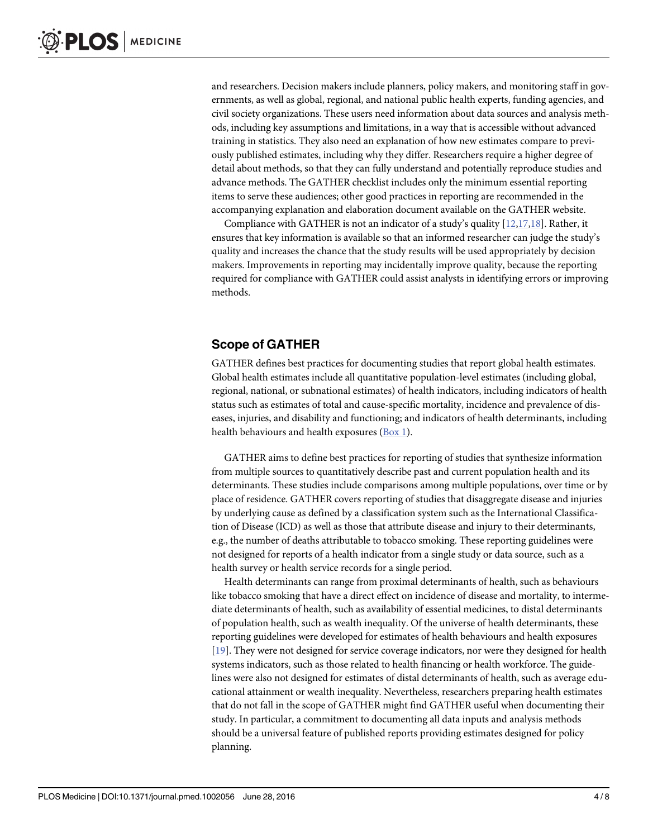<span id="page-3-0"></span>and researchers. Decision makers include planners, policy makers, and monitoring staff in governments, as well as global, regional, and national public health experts, funding agencies, and civil society organizations. These users need information about data sources and analysis methods, including key assumptions and limitations, in a way that is accessible without advanced training in statistics. They also need an explanation of how new estimates compare to previously published estimates, including why they differ. Researchers require a higher degree of detail about methods, so that they can fully understand and potentially reproduce studies and advance methods. The GATHER checklist includes only the minimum essential reporting items to serve these audiences; other good practices in reporting are recommended in the accompanying explanation and elaboration document available on the GATHER website.

Compliance with GATHER is not an indicator of a study's quality [[12,17,18](#page-7-0)]. Rather, it ensures that key information is available so that an informed researcher can judge the study's quality and increases the chance that the study results will be used appropriately by decision makers. Improvements in reporting may incidentally improve quality, because the reporting required for compliance with GATHER could assist analysts in identifying errors or improving methods.

### Scope of GATHER

GATHER defines best practices for documenting studies that report global health estimates. Global health estimates include all quantitative population-level estimates (including global, regional, national, or subnational estimates) of health indicators, including indicators of health status such as estimates of total and cause-specific mortality, incidence and prevalence of diseases, injuries, and disability and functioning; and indicators of health determinants, including health behaviours and health exposures ([Box 1](#page-4-0)).

GATHER aims to define best practices for reporting of studies that synthesize information from multiple sources to quantitatively describe past and current population health and its determinants. These studies include comparisons among multiple populations, over time or by place of residence. GATHER covers reporting of studies that disaggregate disease and injuries by underlying cause as defined by a classification system such as the International Classification of Disease (ICD) as well as those that attribute disease and injury to their determinants, e.g., the number of deaths attributable to tobacco smoking. These reporting guidelines were not designed for reports of a health indicator from a single study or data source, such as a health survey or health service records for a single period.

Health determinants can range from proximal determinants of health, such as behaviours like tobacco smoking that have a direct effect on incidence of disease and mortality, to intermediate determinants of health, such as availability of essential medicines, to distal determinants of population health, such as wealth inequality. Of the universe of health determinants, these reporting guidelines were developed for estimates of health behaviours and health exposures [\[19](#page-7-0)]. They were not designed for service coverage indicators, nor were they designed for health systems indicators, such as those related to health financing or health workforce. The guidelines were also not designed for estimates of distal determinants of health, such as average educational attainment or wealth inequality. Nevertheless, researchers preparing health estimates that do not fall in the scope of GATHER might find GATHER useful when documenting their study. In particular, a commitment to documenting all data inputs and analysis methods should be a universal feature of published reports providing estimates designed for policy planning.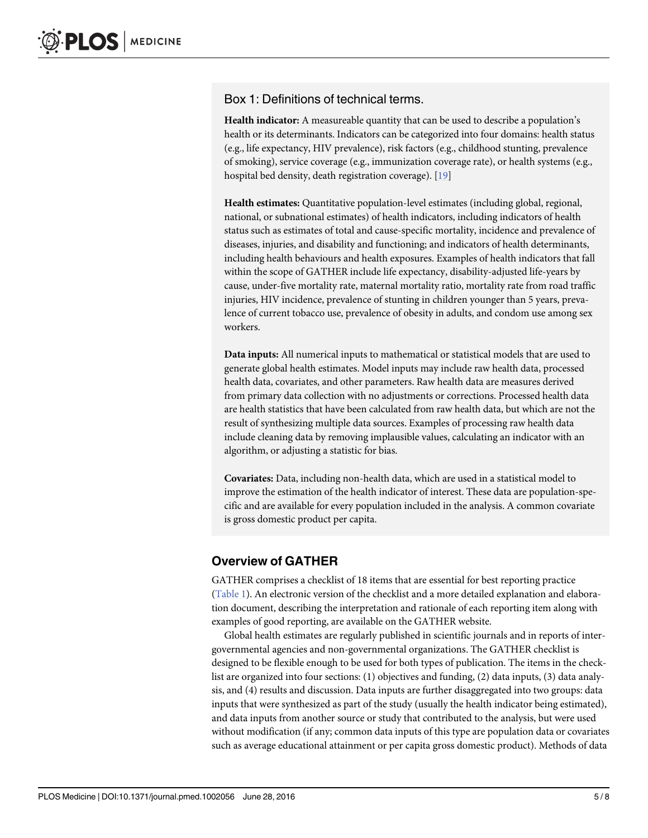### <span id="page-4-0"></span>Box 1: Definitions of technical terms.

Health indicator: A measureable quantity that can be used to describe a population's health or its determinants. Indicators can be categorized into four domains: health status (e.g., life expectancy, HIV prevalence), risk factors (e.g., childhood stunting, prevalence of smoking), service coverage (e.g., immunization coverage rate), or health systems (e.g., hospital bed density, death registration coverage). [[19](#page-7-0)]

Health estimates: Quantitative population-level estimates (including global, regional, national, or subnational estimates) of health indicators, including indicators of health status such as estimates of total and cause-specific mortality, incidence and prevalence of diseases, injuries, and disability and functioning; and indicators of health determinants, including health behaviours and health exposures. Examples of health indicators that fall within the scope of GATHER include life expectancy, disability-adjusted life-years by cause, under-five mortality rate, maternal mortality ratio, mortality rate from road traffic injuries, HIV incidence, prevalence of stunting in children younger than 5 years, prevalence of current tobacco use, prevalence of obesity in adults, and condom use among sex workers.

Data inputs: All numerical inputs to mathematical or statistical models that are used to generate global health estimates. Model inputs may include raw health data, processed health data, covariates, and other parameters. Raw health data are measures derived from primary data collection with no adjustments or corrections. Processed health data are health statistics that have been calculated from raw health data, but which are not the result of synthesizing multiple data sources. Examples of processing raw health data include cleaning data by removing implausible values, calculating an indicator with an algorithm, or adjusting a statistic for bias.

Covariates: Data, including non-health data, which are used in a statistical model to improve the estimation of the health indicator of interest. These data are population-specific and are available for every population included in the analysis. A common covariate is gross domestic product per capita.

### Overview of GATHER

GATHER comprises a checklist of 18 items that are essential for best reporting practice [\(Table 1\)](#page-2-0). An electronic version of the checklist and a more detailed explanation and elaboration document, describing the interpretation and rationale of each reporting item along with examples of good reporting, are available on the GATHER website.

Global health estimates are regularly published in scientific journals and in reports of intergovernmental agencies and non-governmental organizations. The GATHER checklist is designed to be flexible enough to be used for both types of publication. The items in the checklist are organized into four sections: (1) objectives and funding, (2) data inputs, (3) data analysis, and (4) results and discussion. Data inputs are further disaggregated into two groups: data inputs that were synthesized as part of the study (usually the health indicator being estimated), and data inputs from another source or study that contributed to the analysis, but were used without modification (if any; common data inputs of this type are population data or covariates such as average educational attainment or per capita gross domestic product). Methods of data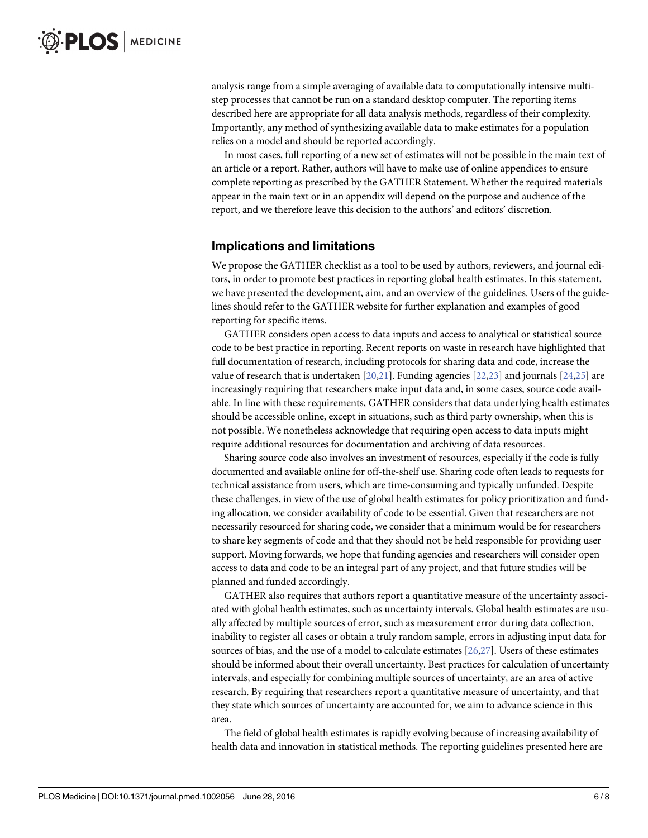<span id="page-5-0"></span>analysis range from a simple averaging of available data to computationally intensive multistep processes that cannot be run on a standard desktop computer. The reporting items described here are appropriate for all data analysis methods, regardless of their complexity. Importantly, any method of synthesizing available data to make estimates for a population relies on a model and should be reported accordingly.

In most cases, full reporting of a new set of estimates will not be possible in the main text of an article or a report. Rather, authors will have to make use of online appendices to ensure complete reporting as prescribed by the GATHER Statement. Whether the required materials appear in the main text or in an appendix will depend on the purpose and audience of the report, and we therefore leave this decision to the authors' and editors' discretion.

### Implications and limitations

We propose the GATHER checklist as a tool to be used by authors, reviewers, and journal editors, in order to promote best practices in reporting global health estimates. In this statement, we have presented the development, aim, and an overview of the guidelines. Users of the guidelines should refer to the GATHER website for further explanation and examples of good reporting for specific items.

GATHER considers open access to data inputs and access to analytical or statistical source code to be best practice in reporting. Recent reports on waste in research have highlighted that full documentation of research, including protocols for sharing data and code, increase the value of research that is undertaken  $[20,21]$ . Funding agencies  $[22,23]$  $[22,23]$  and journals  $[24,25]$  are increasingly requiring that researchers make input data and, in some cases, source code available. In line with these requirements, GATHER considers that data underlying health estimates should be accessible online, except in situations, such as third party ownership, when this is not possible. We nonetheless acknowledge that requiring open access to data inputs might require additional resources for documentation and archiving of data resources.

Sharing source code also involves an investment of resources, especially if the code is fully documented and available online for off-the-shelf use. Sharing code often leads to requests for technical assistance from users, which are time-consuming and typically unfunded. Despite these challenges, in view of the use of global health estimates for policy prioritization and funding allocation, we consider availability of code to be essential. Given that researchers are not necessarily resourced for sharing code, we consider that a minimum would be for researchers to share key segments of code and that they should not be held responsible for providing user support. Moving forwards, we hope that funding agencies and researchers will consider open access to data and code to be an integral part of any project, and that future studies will be planned and funded accordingly.

GATHER also requires that authors report a quantitative measure of the uncertainty associated with global health estimates, such as uncertainty intervals. Global health estimates are usually affected by multiple sources of error, such as measurement error during data collection, inability to register all cases or obtain a truly random sample, errors in adjusting input data for sources of bias, and the use of a model to calculate estimates [\[26,27\]](#page-7-0). Users of these estimates should be informed about their overall uncertainty. Best practices for calculation of uncertainty intervals, and especially for combining multiple sources of uncertainty, are an area of active research. By requiring that researchers report a quantitative measure of uncertainty, and that they state which sources of uncertainty are accounted for, we aim to advance science in this area.

The field of global health estimates is rapidly evolving because of increasing availability of health data and innovation in statistical methods. The reporting guidelines presented here are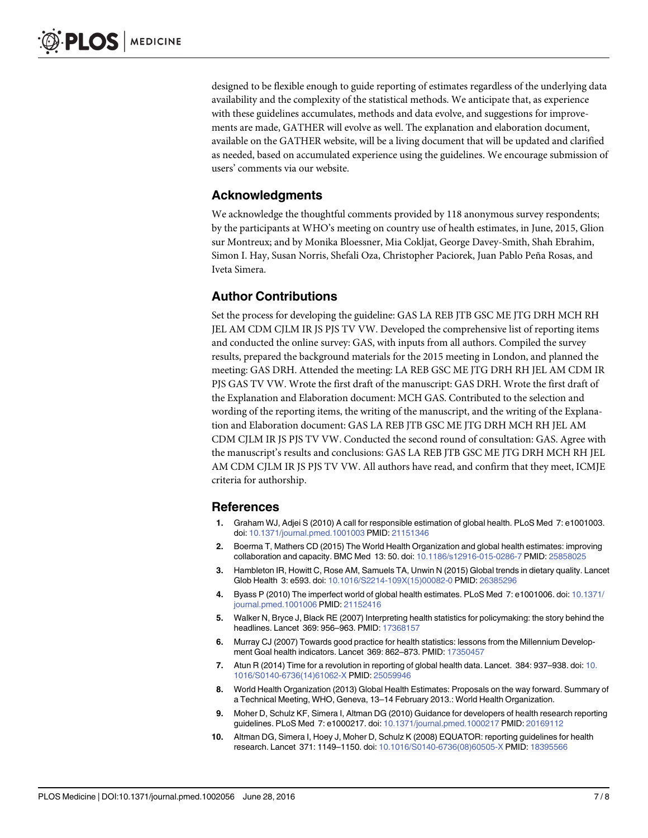<span id="page-6-0"></span>designed to be flexible enough to guide reporting of estimates regardless of the underlying data availability and the complexity of the statistical methods. We anticipate that, as experience with these guidelines accumulates, methods and data evolve, and suggestions for improvements are made, GATHER will evolve as well. The explanation and elaboration document, available on the GATHER website, will be a living document that will be updated and clarified as needed, based on accumulated experience using the guidelines. We encourage submission of users' comments via our website.

### **Acknowledgments**

We acknowledge the thoughtful comments provided by 118 anonymous survey respondents; by the participants at WHO's meeting on country use of health estimates, in June, 2015, Glion sur Montreux; and by Monika Bloessner, Mia Cokljat, George Davey-Smith, Shah Ebrahim, Simon I. Hay, Susan Norris, Shefali Oza, Christopher Paciorek, Juan Pablo Peña Rosas, and Iveta Simera.

### Author Contributions

Set the process for developing the guideline: GAS LA REB JTB GSC ME JTG DRH MCH RH JEL AM CDM CJLM IR JS PJS TV VW. Developed the comprehensive list of reporting items and conducted the online survey: GAS, with inputs from all authors. Compiled the survey results, prepared the background materials for the 2015 meeting in London, and planned the meeting: GAS DRH. Attended the meeting: LA REB GSC ME JTG DRH RH JEL AM CDM IR PJS GAS TV VW. Wrote the first draft of the manuscript: GAS DRH. Wrote the first draft of the Explanation and Elaboration document: MCH GAS. Contributed to the selection and wording of the reporting items, the writing of the manuscript, and the writing of the Explanation and Elaboration document: GAS LA REB JTB GSC ME JTG DRH MCH RH JEL AM CDM CJLM IR JS PJS TV VW. Conducted the second round of consultation: GAS. Agree with the manuscript's results and conclusions: GAS LA REB JTB GSC ME JTG DRH MCH RH JEL AM CDM CJLM IR JS PJS TV VW. All authors have read, and confirm that they meet, ICMJE criteria for authorship.

### References

- [1.](#page-1-0) Graham WJ, Adjei S (2010) A call for responsible estimation of global health. PLoS Med 7: e1001003. doi: [10.1371/journal.pmed.1001003](http://dx.doi.org/10.1371/journal.pmed.1001003) PMID: [21151346](http://www.ncbi.nlm.nih.gov/pubmed/21151346)
- [2.](#page-1-0) Boerma T, Mathers CD (2015) The World Health Organization and global health estimates: improving collaboration and capacity. BMC Med 13: 50. doi: [10.1186/s12916-015-0286-7](http://dx.doi.org/10.1186/s12916-015-0286-7) PMID: [25858025](http://www.ncbi.nlm.nih.gov/pubmed/25858025)
- [3.](#page-1-0) Hambleton IR, Howitt C, Rose AM, Samuels TA, Unwin N (2015) Global trends in dietary quality. Lancet Glob Health 3: e593. doi: [10.1016/S2214-109X\(15\)00082-0](http://dx.doi.org/10.1016/S2214-109X(15)00082-0) PMID: [26385296](http://www.ncbi.nlm.nih.gov/pubmed/26385296)
- [4.](#page-1-0) Byass P (2010) The imperfect world of global health estimates. PLoS Med 7: e1001006. doi: [10.1371/](http://dx.doi.org/10.1371/journal.pmed.1001006) [journal.pmed.1001006](http://dx.doi.org/10.1371/journal.pmed.1001006) PMID: [21152416](http://www.ncbi.nlm.nih.gov/pubmed/21152416)
- 5. Walker N, Bryce J, Black RE (2007) Interpreting health statistics for policymaking: the story behind the headlines. Lancet 369: 956–963. PMID: [17368157](http://www.ncbi.nlm.nih.gov/pubmed/17368157)
- 6. Murray CJ (2007) Towards good practice for health statistics: lessons from the Millennium Development Goal health indicators. Lancet 369: 862–873. PMID: [17350457](http://www.ncbi.nlm.nih.gov/pubmed/17350457)
- [7.](#page-1-0) Atun R (2014) Time for a revolution in reporting of global health data. Lancet. 384: 937-938. doi: [10.](http://dx.doi.org/10.1016/S0140-6736(14)61062-X) [1016/S0140-6736\(14\)61062-X](http://dx.doi.org/10.1016/S0140-6736(14)61062-X) PMID: [25059946](http://www.ncbi.nlm.nih.gov/pubmed/25059946)
- [8.](#page-1-0) World Health Organization (2013) Global Health Estimates: Proposals on the way forward. Summary of a Technical Meeting, WHO, Geneva, 13–14 February 2013.: World Health Organization.
- [9.](#page-1-0) Moher D, Schulz KF, Simera I, Altman DG (2010) Guidance for developers of health research reporting guidelines. PLoS Med 7: e1000217. doi: [10.1371/journal.pmed.1000217](http://dx.doi.org/10.1371/journal.pmed.1000217) PMID: [20169112](http://www.ncbi.nlm.nih.gov/pubmed/20169112)
- [10.](#page-1-0) Altman DG, Simera I, Hoey J, Moher D, Schulz K (2008) EQUATOR: reporting guidelines for health research. Lancet 371: 1149–1150. doi: [10.1016/S0140-6736\(08\)60505-X](http://dx.doi.org/10.1016/S0140-6736(08)60505-X) PMID: [18395566](http://www.ncbi.nlm.nih.gov/pubmed/18395566)